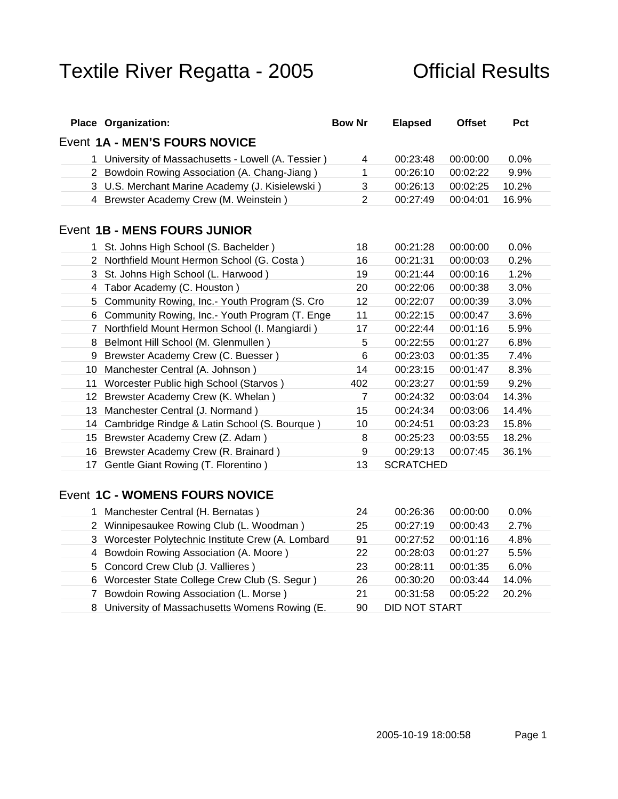| <b>Place Organization:</b>                          | Bow Nr | <b>Elapsed</b>                  | Offset Pct |
|-----------------------------------------------------|--------|---------------------------------|------------|
| Event 1A - MEN'S FOURS NOVICE                       |        |                                 |            |
| 1 University of Massachusetts - Lowell (A. Tessier) |        | 00:23:48 00:00:00 0.0%          |            |
| 2 Bowdoin Rowing Association (A. Chang-Jiang)       |        | 00:26:10 00:02:22 9.9%          |            |
| 3 U.S. Merchant Marine Academy (J. Kisielewski)     |        | 00:26:13 00:02:25 10.2%         |            |
| 4 Brewster Academy Crew (M. Weinstein)              |        | 00:27:49  00:04:01  16.9%       |            |
|                                                     |        |                                 |            |
| Event 1B - MENS FOURS JUNIOR                        |        |                                 |            |
| 1 St. Johns High School (S. Bachelder)              |        | 18  00:21:28  00:00:00  0.0%    |            |
| 2 Northfield Mount Hermon School (G. Costa)         |        | 16 00:21:31 00:00:03 0.2%       |            |
| 3 St. Johns High School (L. Harwood)                |        | 19   00:21:44   00:00:16   1.2% |            |
| 4 Tabor Academy (C. Houston)                        |        | 20 00:22:06 00:00:38 3.0%       |            |
| 5 Community Rowing, Inc.- Youth Program (S. Cro     |        | 00:22:07 00:00:39 3.0%          |            |
| 6 Community Rowing, Inc.- Youth Program (T. Enge    |        | 00:22:15 00:00:47 3.6%          |            |
| 7 Northfield Mount Hermon School (I. Mangiardi)     |        | 17  00:22:44  00:01:16  5.9%    |            |
| 8 Belmont Hill School (M. Glenmullen)               |        | 00:22:55 00:01:27 6.8%          |            |
| 9 Brewster Academy Crew (C. Buesser)                |        | 00:23:03 00:01:35 7.4%          |            |
| 10 Manchester Central (A. Johnson)                  |        | 14  00:23:15  00:01:47  8.3%    |            |
| 11 Worcester Public high School (Starvos)           | 402    | 00:23:27  00:01:59  9.2%        |            |
| 12 Brewster Academy Crew (K. Whelan)                |        | 00:24:32 00:03:04 14.3%         |            |
| 13 Manchester Central (J. Normand)                  |        | 15 00:24:34 00:03:06 14.4%      |            |
| 14 Cambridge Rindge & Latin School (S. Bourque)     |        | 00:24:51  00:03:23  15.8%       |            |
| 15 Brewster Academy Crew (Z. Adam)                  |        | 00:25:23  00:03:55  18.2%       |            |
| 16 Brewster Academy Crew (R. Brainard)              |        | 00:29:13 00:07:45 36.1%         |            |
| 17 Gentle Giant Rowing (T. Florentino)              |        | 13 SCRATCHED                    |            |
|                                                     |        |                                 |            |

### Event **1C - WOMENS FOURS NOVICE**

| Manchester Central (H. Bernatas)                                              | 24   00:26:36   00:00:00   0.0% |
|-------------------------------------------------------------------------------|---------------------------------|
| 2 Winnipesaukee Rowing Club (L. Woodman)                                      |                                 |
| 3 Worcester Polytechnic Institute Crew (A. Lombard 91 00:27:52 00:01:16 4.8%  |                                 |
| 4 Bowdoin Rowing Association (A. Moore)                                       | 22 00:28:03 00:01:27 5.5%       |
| 5 Concord Crew Club (J. Vallieres ) 23 00:28:11 00:01:35 6.0%                 |                                 |
| 6 Worcester State College Crew Club (S. Segur ) 26  00:30:20  00:03:44  14.0% |                                 |
| 7 Bowdoin Rowing Association (L. Morse )<br>21 00:31:58 00:05:22 20.2%        |                                 |
| 8 University of Massachusetts Womens Rowing (E. 90 DID NOT START              |                                 |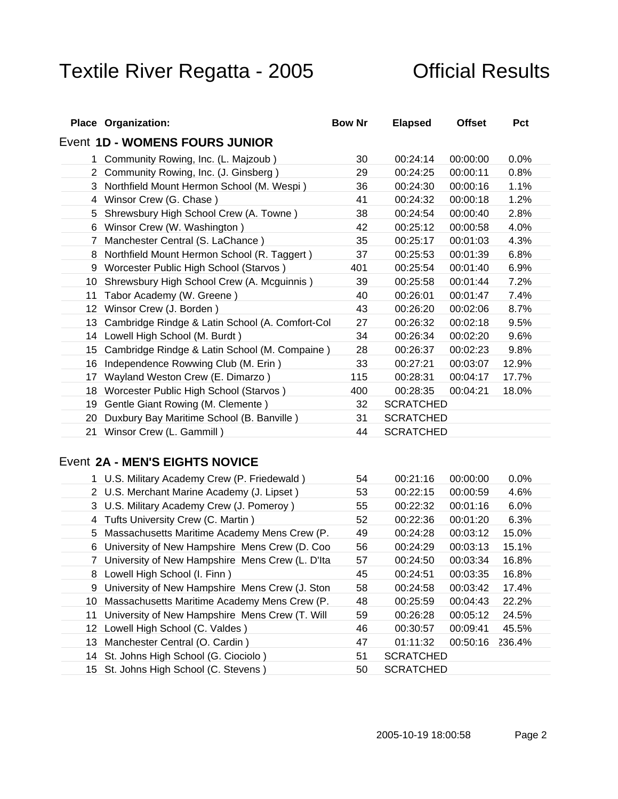| <b>Place Organization:</b>                         | <b>Bow Nr</b> | <b>Elapsed</b>                       | Offset Pct |
|----------------------------------------------------|---------------|--------------------------------------|------------|
| Event 1D - WOMENS FOURS JUNIOR                     |               |                                      |            |
| Community Rowing, Inc. (L. Majzoub)                |               | 30  00:24: <u>14  00:00:00  0.0%</u> |            |
| 2 Community Rowing, Inc. (J. Ginsberg)             |               | 29  00:24:25  00:00:11  0.8%         |            |
| 3 Northfield Mount Hermon School (M. Wespi)        | 36            | 00:24:30 00:00:16 1.1%               |            |
| 4 Winsor Crew (G. Chase)                           |               | 00:24:32 00:00:18 1.2%               |            |
| 5 Shrewsbury High School Crew (A. Towne)           | 38            | 00:24:54 00:00:40 2.8%               |            |
| 6 Winsor Crew (W. Washington)                      | 42            | 00:25:12 00:00:58 4.0%               |            |
| 7 Manchester Central (S. LaChance)                 | 35            | 00:25:17 00:01:03 4.3%               |            |
| 8 Northfield Mount Hermon School (R. Taggert)      |               | 00:25:53 00:01:39 6.8%               |            |
| 9 Worcester Public High School (Starvos)           | 401           | 00:25:54 00:01:40 6.9%               |            |
| 10 Shrewsbury High School Crew (A. Mcguinnis)      | 39            | 00:25:58 00:01:44 7.2%               |            |
| 11 Tabor Academy (W. Greene)                       |               | 40  00:26:01  00:01:47  7.4%         |            |
| 12 Winsor Crew (J. Borden)                         | 43            | 00:26:20 00:02:06 8.7%               |            |
| 13 Cambridge Rindge & Latin School (A. Comfort-Col |               | 00:26:32 00:02:18 9.5%               |            |
| 14 Lowell High School (M. Burdt)                   | 34            | 00:26:34 00:02:20 9.6%               |            |
| 15 Cambridge Rindge & Latin School (M. Compaine)   | 28            | 00:26:37 00:02:23 9.8%               |            |
| 16 Independence Rowwing Club (M. Erin)             |               | 33 00:27:21 00:03:07 12.9%           |            |
| 17 Wayland Weston Crew (E. Dimarzo)                |               | 115  00:28:31  00:04:17  17.7%       |            |
| 18 Worcester Public High School (Starvos)          |               | 400  00:28:35  00:04:21  18.0%       |            |
| 19 Gentle Giant Rowing (M. Clemente)               |               | 32 SCRATCHED                         |            |
| 20 Duxbury Bay Maritime School (B. Banville)       |               | <b>SCRATCHED</b>                     |            |
| 21 Winsor Crew (L. Gammill)                        |               | 44 SCRATCHED                         |            |

### Event **2A - MEN'S EIGHTS NOVICE**

| 1 U.S. Military Academy Crew (P. Friedewald)                                 | 54   00:21:16   00:00:00   0.0% |  |  |  |
|------------------------------------------------------------------------------|---------------------------------|--|--|--|
| 2 U.S. Merchant Marine Academy (J. Lipset)                                   | 53   00:22:15   00:00:59   4.6% |  |  |  |
| 3 U.S. Military Academy Crew (J. Pomeroy)                                    | 55  00:22:32  00:01:16  6.0%    |  |  |  |
| 4 Tufts University Crew (C. Martin ) 4 Tuffs 2 00:22:36 00:01:20 6.3%        |                                 |  |  |  |
| 5 Massachusetts Maritime Academy Mens Crew (P. 49 00:24:28 00:03:12 15.0%    |                                 |  |  |  |
| 6 University of New Hampshire Mens Crew (D. Coo 56 00:24:29 00:03:13 15.1%   |                                 |  |  |  |
| 7 University of New Hampshire Mens Crew (L. D'Ita 57 00:24:50 00:03:34 16.8% |                                 |  |  |  |
| 8 Lowell High School (I. Finn )                                              | 45 00:24:51 00:03:35 16.8%      |  |  |  |
| 9 University of New Hampshire Mens Crew (J. Ston 58 00:24:58 00:03:42 17.4%  |                                 |  |  |  |
| 10 Massachusetts Maritime Academy Mens Crew (P. 48 00:25:59 00:04:43 22.2%   |                                 |  |  |  |
| 11 University of New Hampshire Mens Crew (T. Will 59 00:26:28 00:05:12 24.5% |                                 |  |  |  |
| 12 Lowell High School (C. Valdes)                                            | 46 00:30:57 00:09:41 45.5%      |  |  |  |
| 13 Manchester Central (O. Cardin)                                            | 47  01:11:32  00:50:16  236.4%  |  |  |  |
| 14 St. Johns High School (G. Ciociolo)                                       | 51 SCRATCHED                    |  |  |  |
| 15 St. Johns High School (C. Stevens)                                        | 50 SCRATCHED                    |  |  |  |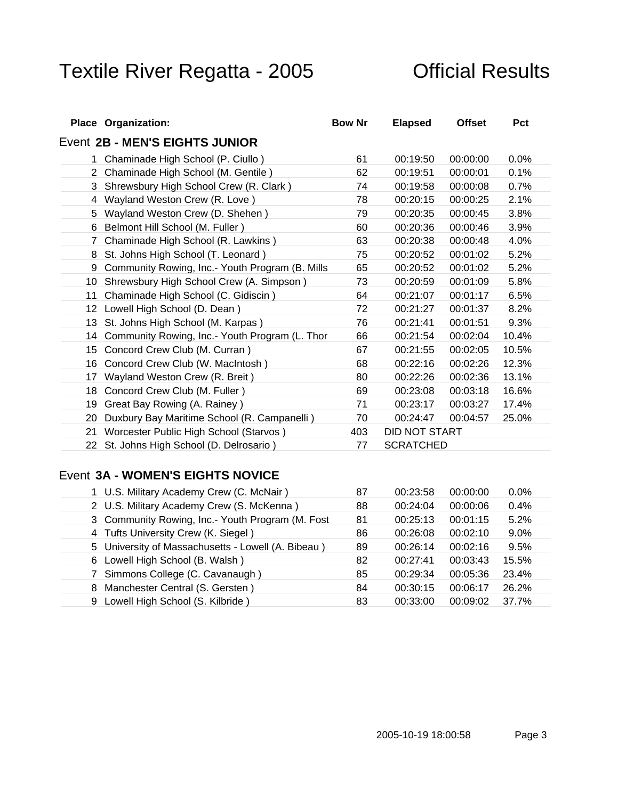| <b>Place Organization:</b>                                                        | <b>Bow Nr</b> | <b>Elapsed</b>    | Offset Pct                                                 |                |  |
|-----------------------------------------------------------------------------------|---------------|-------------------|------------------------------------------------------------|----------------|--|
| Event 2B - MEN'S EIGHTS JUNIOR                                                    |               |                   |                                                            |                |  |
| 1 Chaminade High School (P. Ciullo)                                               | - 61          |                   | 00:19:50 00:00:00 0.0%                                     |                |  |
| 2 Chaminade High School (M. Gentile)                                              |               |                   | 62  00:19:51  00:00:01  0.1%                               |                |  |
| 3 Shrewsbury High School Crew (R. Clark)                                          |               |                   | <u>74 00:19:58 00:00:08 0.7% </u>                          |                |  |
| 4 Wayland Weston Crew (R. Love)                                                   |               |                   | 78  00:20:15  00:00:25  2.1%                               |                |  |
| 5 Wayland Weston Crew (D. Shehen)                                                 |               |                   | 79 00:20:35 00:00:45 3.8%                                  |                |  |
| 6 Belmont Hill School (M. Fuller)                                                 | 60            |                   | 00:20:36 00:00:46 3.9%                                     |                |  |
| 7 Chaminade High School (R. Lawkins)                                              | 63            |                   | 00:20:38 00:00:48 4.0%                                     |                |  |
| 8 St. Johns High School (T. Leonard)                                              |               |                   | 00:20:52 00:01:02 5.2%                                     |                |  |
| 9 Community Rowing, Inc.- Youth Program (B. Mills                                 | 65            |                   | 00:20:52 00:01:02 5.2%                                     |                |  |
| 10 Shrewsbury High School Crew (A. Simpson)                                       | 73            |                   | 00:20:59  00:01:09  5.8%                                   |                |  |
| 11 Chaminade High School (C. Gidiscin)                                            |               |                   | 64 00:21:07 00:01:17 6.5%                                  |                |  |
| 12 Lowell High School (D. Dean)                                                   |               |                   | 72 00:21:27 00:01:37 8.2%                                  |                |  |
| 13 St. Johns High School (M. Karpas)                                              |               | 00:21:41          | 00:01:51 9.3%                                              |                |  |
| 14 Community Rowing, Inc.- Youth Program (L. Thor                                 | 66<br>67      | 00:21:54          |                                                            | 00:02:04 10.4% |  |
| 15 Concord Crew Club (M. Curran)                                                  |               |                   | 00:21:55  00:02:05  10.5%                                  |                |  |
| 16 Concord Crew Club (W. MacIntosh)                                               |               |                   | 00:02:26 12.3%                                             |                |  |
| 17 Wayland Weston Crew (R. Breit)                                                 | 80            |                   | 00:22:26  00:02:36  13.1%                                  |                |  |
| 18 Concord Crew Club (M. Fuller)                                                  |               |                   | 69  00:23:08  00:03:18  16.6%<br>00:23:17  00:03:27  17.4% |                |  |
| 19 Great Bay Rowing (A. Rainey)<br>20 Duxbury Bay Maritime School (R. Campanelli) |               |                   | 70   00:24:47   00:04:57   25.0%                           |                |  |
| 21 Worcester Public High School (Starvos)                                         |               | 403 DID NOT START |                                                            |                |  |
| 22 St. Johns High School (D. Delrosario)                                          |               | 77 SCRATCHED      |                                                            |                |  |
|                                                                                   |               |                   |                                                            |                |  |

### Event **3A - WOMEN'S EIGHTS NOVICE**

| U.S. Military Academy Crew (C. McNair)              |                                  |
|-----------------------------------------------------|----------------------------------|
| 2 U.S. Military Academy Crew (S. McKenna)           |                                  |
| 3 Community Rowing, Inc.- Youth Program (M. Fost 81 | 00:25:13  00:01:15  5.2%         |
| 4 Tufts University Crew (K. Siegel)                 | 86  00:26:08  00:02:10  9.0%     |
| 5 University of Massachusetts - Lowell (A. Bibeau)  | - 89                             |
| 6 Lowell High School (B. Walsh )                    | 82 00:27:41 00:03:43 15.5%       |
| Simmons College (C. Cavanaugh)                      | 85   00:29:34   00:05:36   23.4% |
| 8 Manchester Central (S. Gersten)                   | 84   00:30:15   00:06:17   26.2% |
| ) Lowell High School (S. Kilbride)                  | 83   00:33:00   00:09:02   37.7% |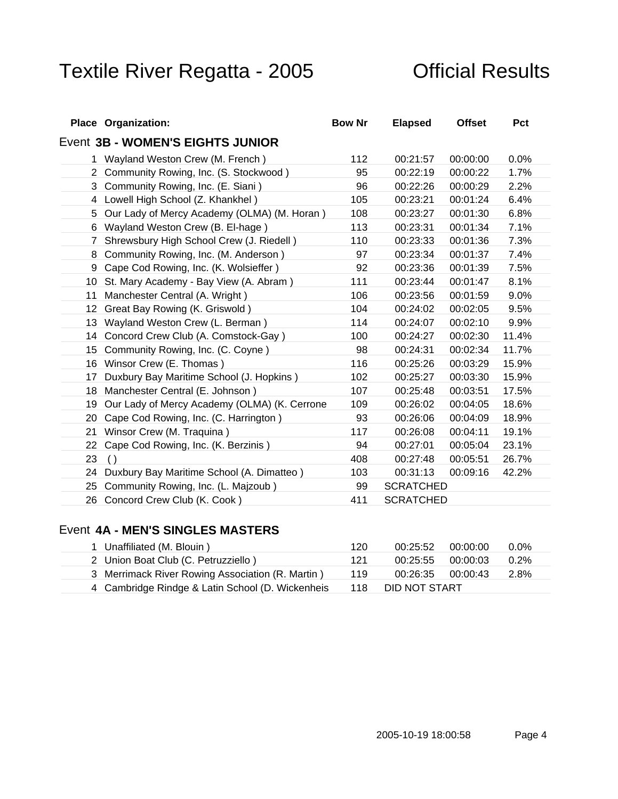| <b>Place Organization:</b>                      | <b>Bow Nr</b>    | <b>Elapsed</b>                | Offset Pct      |                 |
|-------------------------------------------------|------------------|-------------------------------|-----------------|-----------------|
| Event 3B - WOMEN'S EIGHTS JUNIOR                |                  |                               |                 |                 |
| Wayland Weston Crew (M. French)                 | 112              | 00:21:57                      |                 | $00:00:00$ 0.0% |
| 2 Community Rowing, Inc. (S. Stockwood)         | 95               | 00:22:19  00:00:22  1.7%      |                 |                 |
| 3 Community Rowing, Inc. (E. Siani)             | 96 —             | 00:22:26 00:00:29 2.2%        |                 |                 |
| 4 Lowell High School (Z. Khankhel)              |                  | 00:23:21                      |                 | $00:01:24$ 6.4% |
| 5 Our Lady of Mercy Academy (OLMA) (M. Horan)   | 108              | 00:23:27                      | $00:01:30$ 6.8% |                 |
| 6 Wayland Weston Crew (B. El-hage)              |                  | 113  00:23:31  00:01:34  7.1% |                 |                 |
| 7 Shrewsbury High School Crew (J. Riedell)      | 110              | 00:23:33 00:01:36 7.3%        |                 |                 |
| 8 Community Rowing, Inc. (M. Anderson)          | 97               | 00:23:34 00:01:37 7.4%        |                 |                 |
| 9 Cape Cod Rowing, Inc. (K. Wolsieffer)         | 92               | 00:23:36 00:01:39 7.5%        |                 |                 |
| 10 St. Mary Academy - Bay View (A. Abram)       | 111              | 00:23:44 00:01:47 8.1%        |                 |                 |
| 11 Manchester Central (A. Wright)               | 106              | 00:23:56 00:01:59 9.0%        |                 |                 |
| 12 Great Bay Rowing (K. Griswold)               | 104              | 00:24:02 00:02:05 9.5%        |                 |                 |
| 13 Wayland Weston Crew (L. Berman)              | 114              | 00:24:07 00:02:10 9.9%        |                 |                 |
| 14 Concord Crew Club (A. Comstock-Gay)          | 100              | 00:24:27 00:02:30 11.4%       |                 |                 |
| 15 Community Rowing, Inc. (C. Coyne)            | 98               | 00:24:31  00:02:34  11.7%     |                 |                 |
| 16 Winsor Crew (E. Thomas)                      | 116              | 00:25:26 00:03:29 15.9%       |                 |                 |
| 17 Duxbury Bay Maritime School (J. Hopkins)     | 102 <sub>2</sub> | 00:25:27                      | 00:03:30 15.9%  |                 |
| 18 Manchester Central (E. Johnson)              | 107              | 00:25:48 00:03:51 17.5%       |                 |                 |
| 19 Our Lady of Mercy Academy (OLMA) (K. Cerrone | 109              | 00:26:02 00:04:05 18.6%       |                 |                 |
| 20 Cape Cod Rowing, Inc. (C. Harrington)        | 93               | 00:26:06 00:04:09 18.9%       |                 |                 |
| 21 Winsor Crew (M. Traquina)                    | 117              | 00:26:08  00:04:11  19.1%     |                 |                 |
| 22 Cape Cod Rowing, Inc. (K. Berzinis)          | 94               | 00:27:01  00:05:04  23.1%     |                 |                 |
| 23()                                            | 408              | 00:27:48 00:05:51 26.7%       |                 |                 |
| 24 Duxbury Bay Maritime School (A. Dimatteo)    | 103              | 00:31:13  00:09:16  42.2%     |                 |                 |
| 25 Community Rowing, Inc. (L. Majzoub)          |                  | 99 SCRATCHED                  |                 |                 |
| 26 Concord Crew Club (K. Cook)                  |                  | 411 SCRATCHED                 |                 |                 |

### Event **4A - MEN'S SINGLES MASTERS**

| Unaffiliated (M. Blouin)                                                    |
|-----------------------------------------------------------------------------|
| ∠ Union Boat Club (C. Petruzziello)                                         |
| 3 Merrimack River Rowing Association (R. Martin) 119 00:26:35 00:00:43 2.8% |
| 4 Cambridge Rindge & Latin School (D. Wickenheis 118 DID NOT START          |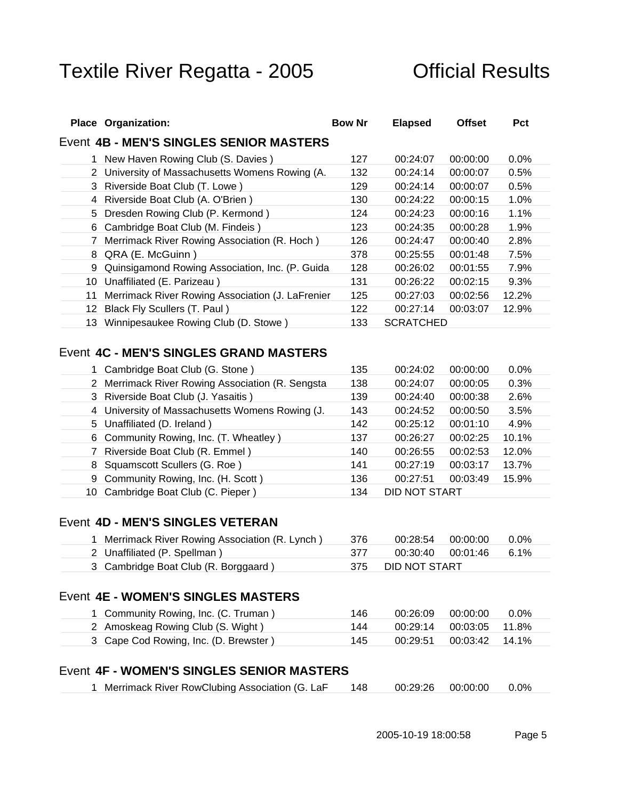| Event 4B - MEN'S SINGLES SENIOR MASTERS<br>1 New Haven Rowing Club (S. Davies)<br>127  00:24:07  00:00:00  0.0%<br>2 University of Massachusetts Womens Rowing (A.<br>00:24:14 00:00:07 0.5%<br>132<br>3 Riverside Boat Club (T. Lowe)<br>129  00:24:14  00:00:07  0.5%<br>130 00:24:22 00:00:15 1.0%<br>4 Riverside Boat Club (A. O'Brien)<br>5 Dresden Rowing Club (P. Kermond)<br>124  00:24:23  00:00:16  1.1%<br>6 Cambridge Boat Club (M. Findeis)<br>123 00:24:35 00:00:28 1.9%<br>00:24:47 00:00:40 2.8%<br>7 Merrimack River Rowing Association (R. Hoch)<br>126<br>8 QRA (E. McGuinn)<br>378  00:25:55  00:01:48  7.5%<br>9 Quinsigamond Rowing Association, Inc. (P. Guida<br>00:26:02 00:01:55 7.9%<br>128<br>10 Unaffiliated (E. Parizeau)<br>131   00:26:22   00:02:15   9.3%<br>11 Merrimack River Rowing Association (J. LaFrenier<br>00:27:03  00:02:56  12.2%<br>125<br>12 Black Fly Scullers (T. Paul)<br>122 00:27:14 00:03:07 12.9%<br>13 Winnipesaukee Rowing Club (D. Stowe)<br>133 SCRATCHED | <b>Place Organization:</b> | <b>Bow Nr</b> | <b>Elapsec</b> | Offset Pct |  |
|----------------------------------------------------------------------------------------------------------------------------------------------------------------------------------------------------------------------------------------------------------------------------------------------------------------------------------------------------------------------------------------------------------------------------------------------------------------------------------------------------------------------------------------------------------------------------------------------------------------------------------------------------------------------------------------------------------------------------------------------------------------------------------------------------------------------------------------------------------------------------------------------------------------------------------------------------------------------------------------------------------------------|----------------------------|---------------|----------------|------------|--|
|                                                                                                                                                                                                                                                                                                                                                                                                                                                                                                                                                                                                                                                                                                                                                                                                                                                                                                                                                                                                                      |                            |               |                |            |  |
|                                                                                                                                                                                                                                                                                                                                                                                                                                                                                                                                                                                                                                                                                                                                                                                                                                                                                                                                                                                                                      |                            |               |                |            |  |
|                                                                                                                                                                                                                                                                                                                                                                                                                                                                                                                                                                                                                                                                                                                                                                                                                                                                                                                                                                                                                      |                            |               |                |            |  |
|                                                                                                                                                                                                                                                                                                                                                                                                                                                                                                                                                                                                                                                                                                                                                                                                                                                                                                                                                                                                                      |                            |               |                |            |  |
|                                                                                                                                                                                                                                                                                                                                                                                                                                                                                                                                                                                                                                                                                                                                                                                                                                                                                                                                                                                                                      |                            |               |                |            |  |
|                                                                                                                                                                                                                                                                                                                                                                                                                                                                                                                                                                                                                                                                                                                                                                                                                                                                                                                                                                                                                      |                            |               |                |            |  |
|                                                                                                                                                                                                                                                                                                                                                                                                                                                                                                                                                                                                                                                                                                                                                                                                                                                                                                                                                                                                                      |                            |               |                |            |  |
|                                                                                                                                                                                                                                                                                                                                                                                                                                                                                                                                                                                                                                                                                                                                                                                                                                                                                                                                                                                                                      |                            |               |                |            |  |
|                                                                                                                                                                                                                                                                                                                                                                                                                                                                                                                                                                                                                                                                                                                                                                                                                                                                                                                                                                                                                      |                            |               |                |            |  |
|                                                                                                                                                                                                                                                                                                                                                                                                                                                                                                                                                                                                                                                                                                                                                                                                                                                                                                                                                                                                                      |                            |               |                |            |  |
|                                                                                                                                                                                                                                                                                                                                                                                                                                                                                                                                                                                                                                                                                                                                                                                                                                                                                                                                                                                                                      |                            |               |                |            |  |
|                                                                                                                                                                                                                                                                                                                                                                                                                                                                                                                                                                                                                                                                                                                                                                                                                                                                                                                                                                                                                      |                            |               |                |            |  |
|                                                                                                                                                                                                                                                                                                                                                                                                                                                                                                                                                                                                                                                                                                                                                                                                                                                                                                                                                                                                                      |                            |               |                |            |  |
|                                                                                                                                                                                                                                                                                                                                                                                                                                                                                                                                                                                                                                                                                                                                                                                                                                                                                                                                                                                                                      |                            |               |                |            |  |

### Event **4C - MEN'S SINGLES GRAND MASTERS**

| Cambridge Boat Club (G. Stone ) 435 00:24:02 00:00:00 0.0%                  |                   |                                   |  |
|-----------------------------------------------------------------------------|-------------------|-----------------------------------|--|
| 2 Merrimack River Rowing Association (R. Sengsta 138 00:24:07 00:00:05 0.3% |                   |                                   |  |
| 3 Riverside Boat Club (J. Yasaitis ) 139 00:24:40 00:00:38 2.6%             |                   |                                   |  |
| 4 University of Massachusetts Womens Rowing (J. 143 00:24:52 00:00:50 3.5%  |                   |                                   |  |
| 5 Unaffiliated (D. Ireland)                                                 |                   | 142   00:25:12   00:01:10   4.9%  |  |
| 6 Community Rowing, Inc. (T. Wheatley)                                      |                   | 137  00:26:27  00:02:25  10.1%    |  |
| 7 Riverside Boat Club (R. Emmel)                                            |                   | 140  00:26:55  00:02:53  12.0%    |  |
| 8 Squamscott Scullers (G. Roe)                                              |                   | 141   00:27:19   00:03:17   13.7% |  |
| 9 Community Rowing, Inc. (H. Scott)                                         |                   | 136   00:27:51   00:03:49   15.9% |  |
| 10 Cambridge Boat Club (C. Pieper)                                          | 134 DID NOT START |                                   |  |
|                                                                             |                   |                                   |  |

### Event **4D - MEN'S SINGLES VETERAN**

| ' Merrimack River Rowing Association (R. Lynch) 376 | 00:28:54 00:00:00 0.0%   |
|-----------------------------------------------------|--------------------------|
| 2 Unaffiliated (P. Spellman)                        | 00:30:40  00:01:46  6.1% |
| <sup>3</sup> Cambridge Boat Club (R. Borggaard)     | DID NOT START            |

### Event **4E - WOMEN'S SINGLES MASTERS**

| Community Rowing, Inc. (C. Truman)  | $00:26:09$ 00:00:00 0.0%  |  |  |
|-------------------------------------|---------------------------|--|--|
| Amoskeag Rowing Club (S. Wight)     | $00:29:14$ 00:03:05 11.8% |  |  |
| Cape Cod Rowing, Inc. (D. Brewster) |                           |  |  |

### Event **4F - WOMEN'S SINGLES SENIOR MASTERS**

| 1 Merrimack River RowClubing Association (G. LaF 148 00:29:26 00:00:00 0.0% |  |
|-----------------------------------------------------------------------------|--|
|                                                                             |  |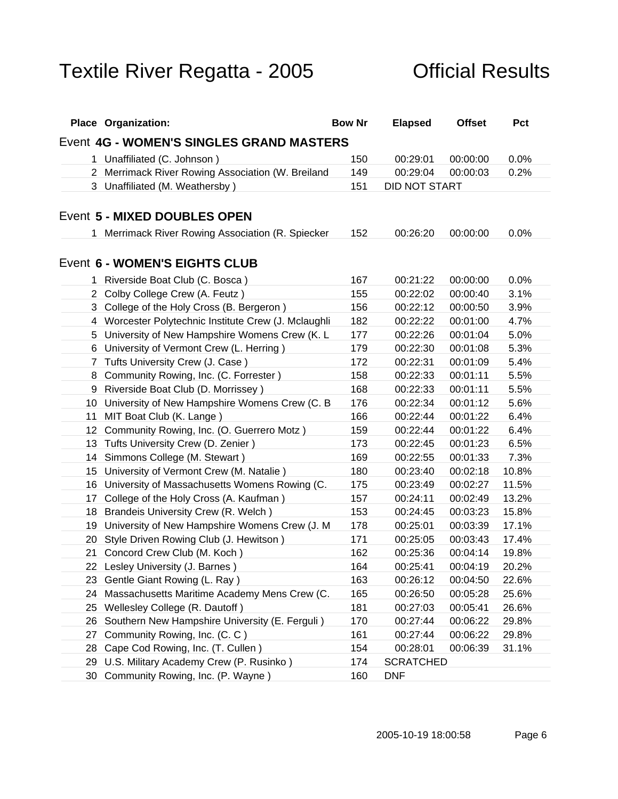| <b>Place Organization:</b>                                                         | <b>Bow Nr</b> | <b>Elapsed</b>                                     | Offset Pct |  |
|------------------------------------------------------------------------------------|---------------|----------------------------------------------------|------------|--|
| Event 4G - WOMEN'S SINGLES GRAND MASTERS                                           |               |                                                    |            |  |
| 1 Unaffiliated (C. Johnson)                                                        | 150           | 00:29:01  00:00:00  0.0%                           |            |  |
| 2 Merrimack River Rowing Association (W. Breiland                                  | 149           | 00:29:04 00:00:03 0.2%                             |            |  |
| 3 Unaffiliated (M. Weathersby)                                                     |               | 151 DID NOT START                                  |            |  |
|                                                                                    |               |                                                    |            |  |
| Event 5 - MIXED DOUBLES OPEN                                                       |               |                                                    |            |  |
| 1 Merrimack River Rowing Association (R. Spiecker                                  | 152           | 00:26:20 00:00:00 0.0%                             |            |  |
|                                                                                    |               |                                                    |            |  |
| Event 6 - WOMEN'S EIGHTS CLUB                                                      |               |                                                    |            |  |
| 1 Riverside Boat Club (C. Bosca)                                                   | 167           | 00:21:22 00:00:00 0.0%                             |            |  |
| 2 Colby College Crew (A. Feutz)                                                    | 155           | 00:22:02 00:00:40 3.1%                             |            |  |
| 3 College of the Holy Cross (B. Bergeron)                                          | 156           | 00:22:12 00:00:50 3.9%                             |            |  |
| 4 Worcester Polytechnic Institute Crew (J. Mclaughli                               | 182           | 00:22:22 00:01:00 4.7%                             |            |  |
| 5 University of New Hampshire Womens Crew (K. L                                    | 177           | 00:22:26 00:01:04 5.0%                             |            |  |
| 6 University of Vermont Crew (L. Herring)                                          | 179           | 00:22:30  00:01:08  5.3%                           |            |  |
| 7 Tufts University Crew (J. Case)                                                  | 172           | 00:22:31 00:01:09 5.4%                             |            |  |
| 8 Community Rowing, Inc. (C. Forrester)                                            | 158           | 00:22:33  00:01:11  5.5%                           |            |  |
| 9 Riverside Boat Club (D. Morrissey)                                               | 168           | 00:22:33  00:01:11  5.5%                           |            |  |
| 10 University of New Hampshire Womens Crew (C. B 176                               |               | 00:22:34 00:01:12 5.6%                             |            |  |
| 11 MIT Boat Club (K. Lange)                                                        | 166           | 00:22:44 00:01:22 6.4%                             |            |  |
| 12 Community Rowing, Inc. (O. Guerrero Motz)                                       | 159<br>173    | 00:22:44 00:01:22 6.4%                             |            |  |
| 13 Tufts University Crew (D. Zenier)<br>14 Simmons College (M. Stewart)            |               | 00:22:45  00:01:23  6.5%<br>00:22:55 00:01:33 7.3% |            |  |
| 15 University of Vermont Crew (M. Natalie)                                         | 180           | 00:23:40  00:02:18  10.8%                          |            |  |
| 16 University of Massachusetts Womens Rowing (C.                                   | 175           | 00:23:49  00:02:27  11.5%                          |            |  |
| 17 College of the Holy Cross (A. Kaufman)                                          | 157           | 00:24:11  00:02:49  13.2%                          |            |  |
| 18 Brandeis University Crew (R. Welch)                                             | 153           | 00:24:45 00:03:23 15.8%                            |            |  |
| 19 University of New Hampshire Womens Crew (J. M 178                               |               | 00:25:01 00:03:39 17.1%                            |            |  |
| 20 Style Driven Rowing Club (J. Hewitson)                                          | 171           | 00:25:05 00:03:43 17.4%                            |            |  |
| 21 Concord Crew Club (M. Koch)                                                     | 162           | 00:25:36  00:04:14  19.8%                          |            |  |
| 22 Lesley University (J. Barnes)                                                   | 164           | 00:25:41  00:04:19  20.2%                          |            |  |
| 23 Gentle Giant Rowing (L. Ray)                                                    | 163           | 00:26:12 00:04:50 22.6%                            |            |  |
| 24 Massachusetts Maritime Academy Mens Crew (C.                                    |               | 00:26:50 00:05:28 25.6%                            |            |  |
| 25 Wellesley College (R. Dautoff)                                                  | 181           | 00:27:03  00:05:41  26.6%                          |            |  |
| 26 Southern New Hampshire University (E. Ferguli)                                  | 170           | 00:27:44 00:06:22 29.8%                            |            |  |
| 27 Community Rowing, Inc. (C. C)                                                   | 161           | 00:27:44 00:06:22 29.8%                            |            |  |
| 28 Cape Cod Rowing, Inc. (T. Cullen)                                               | 154           | 00:28:01  00:06:39  31.1%                          |            |  |
| 29 U.S. Military Academy Crew (P. Rusinko)<br>30 Community Rowing, Inc. (P. Wayne) |               | 174 SCRATCHED<br>160 DNF                           |            |  |
|                                                                                    |               |                                                    |            |  |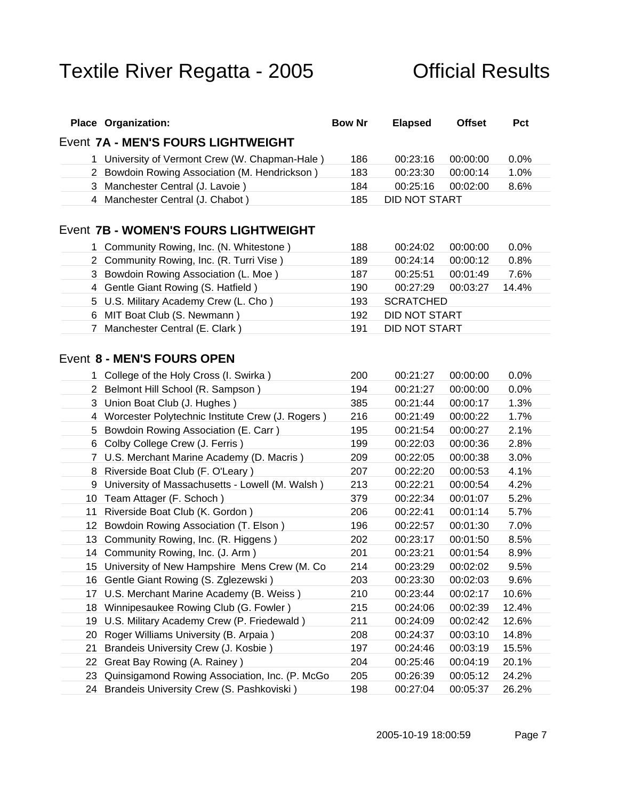| <b>Place Organization:</b>                                                                            | <b>Bow Nr</b> | <b>Elapsed</b>                                              | Offset Pct |
|-------------------------------------------------------------------------------------------------------|---------------|-------------------------------------------------------------|------------|
| Event 7A - MEN'S FOURS LIGHTWEIGHT                                                                    |               |                                                             |            |
| 1 University of Vermont Crew (W. Chapman-Hale)                                                        | 186           | 00:23:16 00:00:00 0.0%                                      |            |
| 2 Bowdoin Rowing Association (M. Hendrickson                                                          | 183           | 00:23:30  00:00:14  1.0%                                    |            |
| 3 Manchester Central (J. Lavoie)                                                                      |               | 184  00:25:16  00:02:00  8.6%                               |            |
| 4 Manchester Central (J. Chabot)                                                                      |               | 185 DID NOT START                                           |            |
|                                                                                                       |               |                                                             |            |
| Event 7B - WOMEN'S FOURS LIGHTWEIGHT                                                                  |               |                                                             |            |
| 1 Community Rowing, Inc. (N. Whitestone)                                                              |               | 188  00:24:02  00:00:00  0.0%                               |            |
| 2 Community Rowing, Inc. (R. Turri Vise)                                                              | 189           | 00:24:14 00:00:12 0.8%                                      |            |
| 3 Bowdoin Rowing Association (L. Moe)                                                                 | 187           | 00:25:51  00:01:49  7.6%                                    |            |
| 4 Gentle Giant Rowing (S. Hatfield)                                                                   | 190           | 00:27:29  00:03:27  14.4%                                   |            |
| 5 U.S. Military Academy Crew (L. Cho)                                                                 |               | 193 SCRATCHED                                               |            |
| 6 MIT Boat Club (S. Newmann)                                                                          |               | 192 DID NOT START                                           |            |
| 7 Manchester Central (E. Clark)                                                                       |               | 191 DID NOT START                                           |            |
|                                                                                                       |               |                                                             |            |
| Event 8 - MEN'S FOURS OPEN                                                                            |               |                                                             |            |
| 1 College of the Holy Cross (I. Swirka)                                                               |               | 200  00:21:27  00:00:00  0.0%                               |            |
| 2 Belmont Hill School (R. Sampson)                                                                    | 194           | 00:21:27 00:00:00 0.0%                                      |            |
| 3 Union Boat Club (J. Hughes)                                                                         | 385           |                                                             |            |
| 4 Worcester Polytechnic Institute Crew (J. Rogers)                                                    | 216           | 00:21:49  00:00:22  1.7%                                    |            |
| 5 Bowdoin Rowing Association (E. Carr)                                                                |               | 195   00:21:54   00:00:27   2.1%                            |            |
| 6 Colby College Crew (J. Ferris)                                                                      | 199           | 00:22:03 00:00:36 2.8%                                      |            |
| 7 U.S. Merchant Marine Academy (D. Macris)                                                            | 209           | 00:22:05 00:00:38 3.0%                                      |            |
| 8 Riverside Boat Club (F. O'Leary)                                                                    | 207           | 00:22:20 00:00:53 4.1%                                      |            |
| 9 University of Massachusetts - Lowell (M. Walsh)                                                     | 213           | 00:22:21 00:00:54 4.2%                                      |            |
| 10 Team Attager (F. Schoch)                                                                           | 379           | 00:22:34 00:01:07 5.2%                                      |            |
| 11 Riverside Boat Club (K. Gordon)                                                                    | 206           | 00:22:41  00:01:14  5.7%                                    |            |
| 12 Bowdoin Rowing Association (T. Elson)                                                              |               | 196 00:22:57 00:01:30 7.0%                                  |            |
| 13 Community Rowing, Inc. (R. Higgens)                                                                |               | 202  00:23:17  00:01:50  8.5%                               |            |
| 14 Community Rowing, Inc. (J. Arm)                                                                    |               | 201  00:23:21  00:01:54  8.9%                               |            |
| 15 University of New Hampshire Mens Crew (M. Co                                                       | 214           | 00:23:29  00:02:02  9.5%                                    |            |
| 16 Gentle Giant Rowing (S. Zglezewski)                                                                | 203           | 00:23:30 00:02:03 9.6%                                      |            |
| 17 U.S. Merchant Marine Academy (B. Weiss)                                                            | 210           | 00:23:44 00:02:17 10.6%                                     |            |
| 18 Winnipesaukee Rowing Club (G. Fowler)                                                              | 215           | 00:24:06 00:02:39 12.4%                                     |            |
| 19 U.S. Military Academy Crew (P. Friedewald)                                                         | 211           | 00:24:09  00:02:42  12.6%                                   |            |
| 20 Roger Williams University (B. Arpaia)                                                              |               | 208  00:24:37  00:03:10  14.8%                              |            |
| 21 Brandeis University Crew (J. Kosbie)                                                               | 197           | 00:24:46 00:03:19 15.5%                                     |            |
| 22 Great Bay Rowing (A. Rainey)                                                                       |               | 204  00:25:46  00:04:19  20.1%                              |            |
| 23 Quinsigamond Rowing Association, Inc. (P. McGo 205<br>24 Brandeis University Crew (S. Pashkoviski) |               | 00:26:39  00:05:12  24.2%<br>198  00:27:04  00:05:37  26.2% |            |
|                                                                                                       |               |                                                             |            |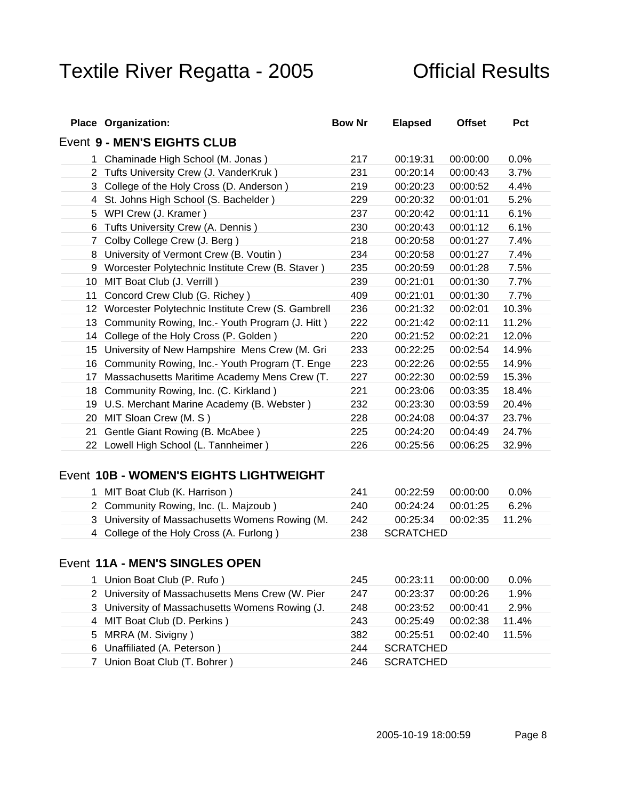| <b>Place Organization:</b>                                                              | <b>Bow Nr</b> | <b>Elapsed</b> | Offset Pct                                           |  |
|-----------------------------------------------------------------------------------------|---------------|----------------|------------------------------------------------------|--|
| Event 9 - MEN'S EIGHTS CLUB                                                             |               |                |                                                      |  |
| 1 Chaminade High School (M. Jonas)                                                      | 217           | 00:19:31       | $00:00:00$ 0.0%                                      |  |
| 2 Tufts University Crew (J. VanderKruk)                                                 | 231           |                | 00:20:14 00:00:43 3.7%                               |  |
| 3 College of the Holy Cross (D. Anderson)                                               | 219           |                | 00:20:23 00:00:52 4.4%                               |  |
| 4 St. Johns High School (S. Bachelder)                                                  | 229           |                | 00:20:32 00:01:01 5.2%                               |  |
| 5 WPI Crew (J. Kramer)                                                                  | 237           |                | 00:20:42 00:01:11 6.1%                               |  |
| 6 Tufts University Crew (A. Dennis)                                                     | 230           |                | 00:20:43 00:01:12 6.1%                               |  |
| 7 Colby College Crew (J. Berg)                                                          | 218           |                | 00:20:58 00:01:27 7.4%                               |  |
| 8 University of Vermont Crew (B. Voutin)                                                | 234           |                | 00:20:58 00:01:27 7.4%                               |  |
| 9 Worcester Polytechnic Institute Crew (B. Staver)                                      | 235           |                | 00:20:59 00:01:28 7.5%                               |  |
| 10 MIT Boat Club (J. Verrill)                                                           | 239           | 00:21:01       | 00:01:30 7.7%                                        |  |
| 11 Concord Crew Club (G. Richey)                                                        | 409           | 00:21:01       | 00:01:30 7.7%                                        |  |
| 12 Worcester Polytechnic Institute Crew (S. Gambrell                                    | 236           |                | 00:21:32 00:02:01 10.3%                              |  |
| 13 Community Rowing, Inc.- Youth Program (J. Hitt)                                      | 222           |                | 00:21:42  00:02:11  11.2%                            |  |
| 14 College of the Holy Cross (P. Golden)                                                | 220           |                | 00:21:52  00:02:21  12.0%                            |  |
| 15 University of New Hampshire Mens Crew (M. Gri                                        | 233           |                | 00:22:25 00:02:54 14.9%                              |  |
| 16 Community Rowing, Inc.- Youth Program (T. Enge                                       | 223           |                | 00:22:26 00:02:55 14.9%                              |  |
| 17 Massachusetts Maritime Academy Mens Crew (T.                                         | - 227         |                | 00:22:30 00:02:59 15.3%                              |  |
| 18 Community Rowing, Inc. (C. Kirkland)<br>19 U.S. Merchant Marine Academy (B. Webster) | 221<br>232    |                | 00:23:06  00:03:35  18.4%<br>00:23:30 00:03:59 20.4% |  |
| 20 MIT Sloan Crew (M. S)                                                                | 228           |                | 00:24:08 00:04:37 23.7%                              |  |
| 21 Gentle Giant Rowing (B. McAbee)                                                      | 225           |                | 00:24:20 00:04:49 24.7%                              |  |
| 22 Lowell High School (L. Tannheimer)                                                   |               |                | 226 00:25:56 00:06:25 32.9%                          |  |
|                                                                                         |               |                |                                                      |  |

### Event **10B - WOMEN'S EIGHTS LIGHTWEIGHT**

| <sup>1</sup> MIT Boat Club (K. Harrison)                                    | $11$ 00:22:59 00:00:00 0.0% |  |
|-----------------------------------------------------------------------------|-----------------------------|--|
| 2 Community Rowing, Inc. (L. Majzoub)                                       |                             |  |
| 3 University of Massachusetts Womens Rowing (M. 242 00:25:34 00:02:35 11.2% |                             |  |
| College of the Holy Cross (A. Furlong)                                      | SCRATCHED                   |  |

### Event **11A - MEN'S SINGLES OPEN**

| Union Boat Club (P. Rufo)                        | 245   00:23:11   00:00:00   0.0%  |
|--------------------------------------------------|-----------------------------------|
| 2 University of Massachusetts Mens Crew (W. Pier | 00:23:37  00:00:26  1.9%          |
| 3 University of Massachusetts Womens Rowing (J.  | 248 00:23:52 00:00:41 2.9%        |
| 4 MIT Boat Club (D. Perkins)                     | 243   00:25:49   00:02:38   11.4% |
| 5 MRRA (M. Sivigny)                              |                                   |
| 6 Unaffiliated (A. Peterson)                     | <u> 244 SCRATCHED</u>             |
| 7 Union Boat Club (T. Bohrer)                    | SCRATCHED                         |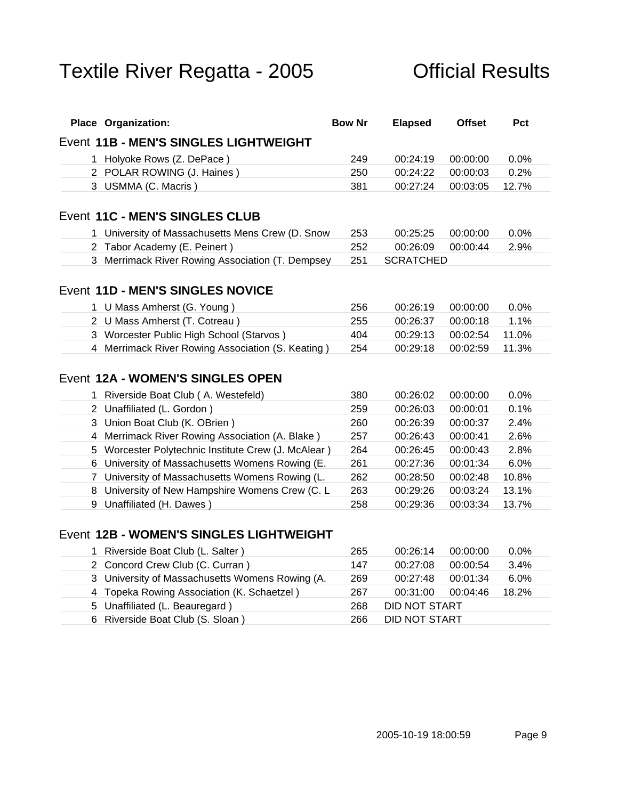| Event 11B - MEN'S SINGLES LIGHTWEIGHT<br>1 Holyoke Rows (Z. DePace)<br>2 POLAR ROWING (J. Haines)<br>3 USMMA (C. Macris)<br>University of Massachusetts Mens Crew (D. Snow<br>2 Tabor Academy (E. Peinert)<br>3 Merrimack River Rowing Association (T. Dempsey 251<br>1 U Mass Amherst (G. Young)<br>2 U Mass Amherst (T. Cotreau)<br>3 Worcester Public High School (Starvos)<br>4 Merrimack River Rowing Association (S. Keating)<br>1 Riverside Boat Club (A. Westefeld)<br>2 Unaffiliated (L. Gordon)<br>3 Union Boat Club (K. OBrien)<br>4 Merrimack River Rowing Association (A. Blake)<br>5 Worcester Polytechnic Institute Crew (J. McAlear)<br>6 University of Massachusetts Womens Rowing (E. | 253 | 250<br>381<br>252 | 249   00:24:19   00:00:00   0.0%<br>00:24:22 00:00:03 0.2%<br>00:27:24 00:03:05 12.7%<br>00:25:25 00:00:00 0.0%<br>00:26:09  00:00:44  2.9%<br>SCRATCHED<br>256 00:26:19 00:00:00 0.0%<br>255 00:26:37 00:00:18 1.1% |  |
|---------------------------------------------------------------------------------------------------------------------------------------------------------------------------------------------------------------------------------------------------------------------------------------------------------------------------------------------------------------------------------------------------------------------------------------------------------------------------------------------------------------------------------------------------------------------------------------------------------------------------------------------------------------------------------------------------------|-----|-------------------|----------------------------------------------------------------------------------------------------------------------------------------------------------------------------------------------------------------------|--|
| Event 11C - MEN'S SINGLES CLUB<br>Event 11D - MEN'S SINGLES NOVICE<br>Event 12A - WOMEN'S SINGLES OPEN                                                                                                                                                                                                                                                                                                                                                                                                                                                                                                                                                                                                  |     |                   |                                                                                                                                                                                                                      |  |
|                                                                                                                                                                                                                                                                                                                                                                                                                                                                                                                                                                                                                                                                                                         |     |                   |                                                                                                                                                                                                                      |  |
|                                                                                                                                                                                                                                                                                                                                                                                                                                                                                                                                                                                                                                                                                                         |     |                   |                                                                                                                                                                                                                      |  |
|                                                                                                                                                                                                                                                                                                                                                                                                                                                                                                                                                                                                                                                                                                         |     |                   |                                                                                                                                                                                                                      |  |
|                                                                                                                                                                                                                                                                                                                                                                                                                                                                                                                                                                                                                                                                                                         |     |                   |                                                                                                                                                                                                                      |  |
|                                                                                                                                                                                                                                                                                                                                                                                                                                                                                                                                                                                                                                                                                                         |     |                   |                                                                                                                                                                                                                      |  |
|                                                                                                                                                                                                                                                                                                                                                                                                                                                                                                                                                                                                                                                                                                         |     |                   |                                                                                                                                                                                                                      |  |
|                                                                                                                                                                                                                                                                                                                                                                                                                                                                                                                                                                                                                                                                                                         |     |                   |                                                                                                                                                                                                                      |  |
|                                                                                                                                                                                                                                                                                                                                                                                                                                                                                                                                                                                                                                                                                                         |     |                   |                                                                                                                                                                                                                      |  |
|                                                                                                                                                                                                                                                                                                                                                                                                                                                                                                                                                                                                                                                                                                         |     |                   |                                                                                                                                                                                                                      |  |
|                                                                                                                                                                                                                                                                                                                                                                                                                                                                                                                                                                                                                                                                                                         |     |                   |                                                                                                                                                                                                                      |  |
|                                                                                                                                                                                                                                                                                                                                                                                                                                                                                                                                                                                                                                                                                                         |     |                   |                                                                                                                                                                                                                      |  |
|                                                                                                                                                                                                                                                                                                                                                                                                                                                                                                                                                                                                                                                                                                         |     | 404               | 00:29:13 00:02:54 11.0%                                                                                                                                                                                              |  |
|                                                                                                                                                                                                                                                                                                                                                                                                                                                                                                                                                                                                                                                                                                         | 254 |                   | 00:29:18  00:02:59  11.3%                                                                                                                                                                                            |  |
|                                                                                                                                                                                                                                                                                                                                                                                                                                                                                                                                                                                                                                                                                                         |     |                   |                                                                                                                                                                                                                      |  |
|                                                                                                                                                                                                                                                                                                                                                                                                                                                                                                                                                                                                                                                                                                         |     |                   |                                                                                                                                                                                                                      |  |
|                                                                                                                                                                                                                                                                                                                                                                                                                                                                                                                                                                                                                                                                                                         |     |                   | 380  00:26:02  00:00:00  0.0%                                                                                                                                                                                        |  |
|                                                                                                                                                                                                                                                                                                                                                                                                                                                                                                                                                                                                                                                                                                         |     |                   | 259  00:26:03  00:00:01  0.1%                                                                                                                                                                                        |  |
|                                                                                                                                                                                                                                                                                                                                                                                                                                                                                                                                                                                                                                                                                                         |     |                   | 260 00:26:39 00:00:37 2.4%                                                                                                                                                                                           |  |
|                                                                                                                                                                                                                                                                                                                                                                                                                                                                                                                                                                                                                                                                                                         |     |                   | 00:26:43 00:00:41 2.6%                                                                                                                                                                                               |  |
|                                                                                                                                                                                                                                                                                                                                                                                                                                                                                                                                                                                                                                                                                                         |     |                   | 00:26:45 00:00:43 2.8%                                                                                                                                                                                               |  |
|                                                                                                                                                                                                                                                                                                                                                                                                                                                                                                                                                                                                                                                                                                         | 257 |                   |                                                                                                                                                                                                                      |  |
| 7 University of Massachusetts Womens Rowing (L.                                                                                                                                                                                                                                                                                                                                                                                                                                                                                                                                                                                                                                                         | 264 |                   |                                                                                                                                                                                                                      |  |
| 8 University of New Hampshire Womens Crew (C. L 263                                                                                                                                                                                                                                                                                                                                                                                                                                                                                                                                                                                                                                                     | 261 |                   | 00:27:36 00:01:34 6.0%                                                                                                                                                                                               |  |
| 9 Unaffiliated (H. Dawes)                                                                                                                                                                                                                                                                                                                                                                                                                                                                                                                                                                                                                                                                               |     | 262               | 00:28:50  00:02:48  10.8%                                                                                                                                                                                            |  |
|                                                                                                                                                                                                                                                                                                                                                                                                                                                                                                                                                                                                                                                                                                         |     |                   | 00:29:26 00:03:24 13.1%<br>258 00:29:36 00:03:34 13.7%                                                                                                                                                               |  |

### Event **12B - WOMEN'S SINGLES LIGHTWEIGHT**

| Riverside Boat Club (L. Salter)                                            | 265 00:26:14 00:00:00 0.0%        |  |  |
|----------------------------------------------------------------------------|-----------------------------------|--|--|
| 2 Concord Crew Club (C. Curran)                                            | 147   00:27:08   00:00:54   3.4%  |  |  |
| 3 University of Massachusetts Womens Rowing (A. 269 00:27:48 00:01:34 6.0% |                                   |  |  |
| 4 Topeka Rowing Association (K. Schaetzel)                                 | 267   00:31:00   00:04:46   18.2% |  |  |
| 5 Unaffiliated (L. Beauregard)                                             | 268 DID NOT START                 |  |  |
| 6 Riverside Boat Club (S. Sloan)                                           | 266 DID NOT START                 |  |  |
|                                                                            |                                   |  |  |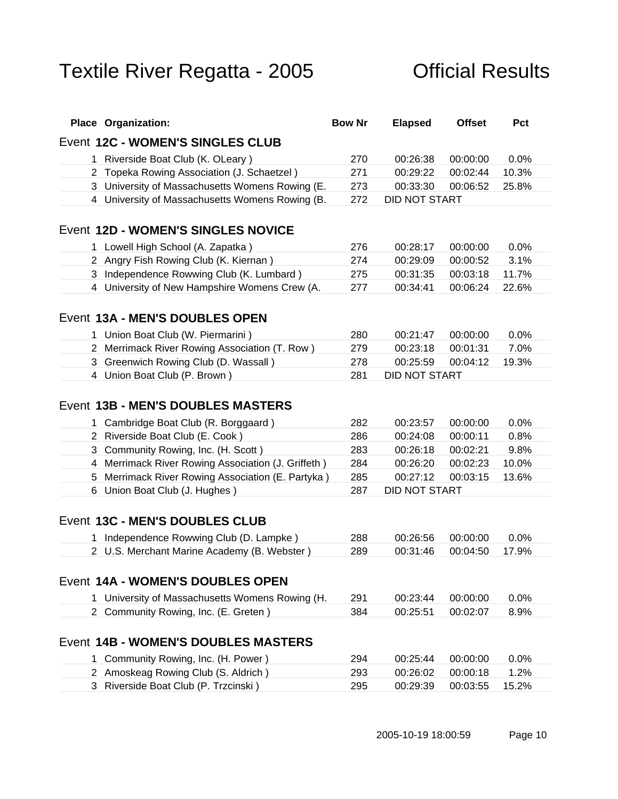| <b>Place Organization:</b>                         | <b>Bow Nr</b> | <b>Elapsed</b>                   | Offset Pct |
|----------------------------------------------------|---------------|----------------------------------|------------|
| Event 12C - WOMEN'S SINGLES CLUB                   |               |                                  |            |
| 1 Riverside Boat Club (K. OLeary)                  |               | 270  00:26:38  00:00:00  0.0%    |            |
| 2 Topeka Rowing Association (J. Schaetzel)         | 271           | 00:29:22 00:02:44 10.3%          |            |
| 3 University of Massachusetts Womens Rowing (E     | 273           | 00:33:30  00:06:52  25.8%        |            |
| 4 University of Massachusetts Womens Rowing (B.    |               | 272 DID NOT START                |            |
|                                                    |               |                                  |            |
| Event 12D - WOMEN'S SINGLES NOVICE                 |               |                                  |            |
| 1 Lowell High School (A. Zapatka)                  | 276           | 00:28:17 00:00:00 0.0%           |            |
| 2 Angry Fish Rowing Club (K. Kiernan)              |               | 274   00:29:09   00:00:52   3.1% |            |
| 3 Independence Rowwing Club (K. Lumbard)           |               | 275  00:31:35  00:03:18  11.7%   |            |
| 4 University of New Hampshire Womens Crew (A.      | 277           | 00:34:41 00:06:24 22.6%          |            |
|                                                    |               |                                  |            |
| Event 13A - MEN'S DOUBLES OPEN                     |               |                                  |            |
| 1 Union Boat Club (W. Piermarini)                  |               | 280  00:21:47  00:00:00  0.0%    |            |
| 2 Merrimack River Rowing Association (T. Row)      | 279           | 00:23:18 00:01:31 7.0%           |            |
| 3 Greenwich Rowing Club (D. Wassall)               |               | 278  00:25:59  00:04:12  19.3%   |            |
| 4 Union Boat Club (P. Brown)                       |               | 281 DID NOT START                |            |
|                                                    |               |                                  |            |
| Event 13B - MEN'S DOUBLES MASTERS                  |               |                                  |            |
| 1 Cambridge Boat Club (R. Borggaard)               |               | 282 00:23:57 00:00:00 0.0%       |            |
| 2 Riverside Boat Club (E. Cook)                    |               | 286 00:24:08 00:00:11 0.8%       |            |
| 3 Community Rowing, Inc. (H. Scott)                |               | 283  00:26:18  00:02:21  9.8%    |            |
| 4 Merrimack River Rowing Association (J. Griffeth) | 284           | 00:26:20 00:02:23 10.0%          |            |
| 5 Merrimack River Rowing Association (E. Partyka)  | 285           | 00:27:12 00:03:15 13.6%          |            |
| 6 Union Boat Club (J. Hughes)                      |               | 287 DID NOT START                |            |
|                                                    |               |                                  |            |
| Event 13C - MEN'S DOUBLES CLUB                     |               |                                  |            |
| 1 Independence Rowwing Club (D. Lampke)            | 288           | 00:26:56 00:00:00 0.0%           |            |
| 2 U.S. Merchant Marine Academy (B. Webster)        |               | 289  00:31:46  00:04:50  17.9%   |            |
|                                                    |               |                                  |            |
| Event 14A - WOMEN'S DOUBLES OPEN                   |               |                                  |            |
| 1 University of Massachusetts Womens Rowing (H.    | 291           | 00:23:44 00:00:00 0.0%           |            |
| 2 Community Rowing, Inc. (E. Greten)               |               | 384  00:25:51  00:02:07  8.9%    |            |
|                                                    |               |                                  |            |
| Event 14B - WOMEN'S DOUBLES MASTERS                |               |                                  |            |
|                                                    |               |                                  |            |
| 1 Community Rowing, Inc. (H. Power)                |               | 294 00:25:44 00:00:00 0.0%       |            |
| 2 Amoskeag Rowing Club (S. Aldrich)                |               | 293  00:26:02  00:00:18  1.2%    |            |
| 3 Riverside Boat Club (P. Trzcinski)               |               | 295 00:29:39 00:03:55 15.2%      |            |
|                                                    |               |                                  |            |
|                                                    |               |                                  |            |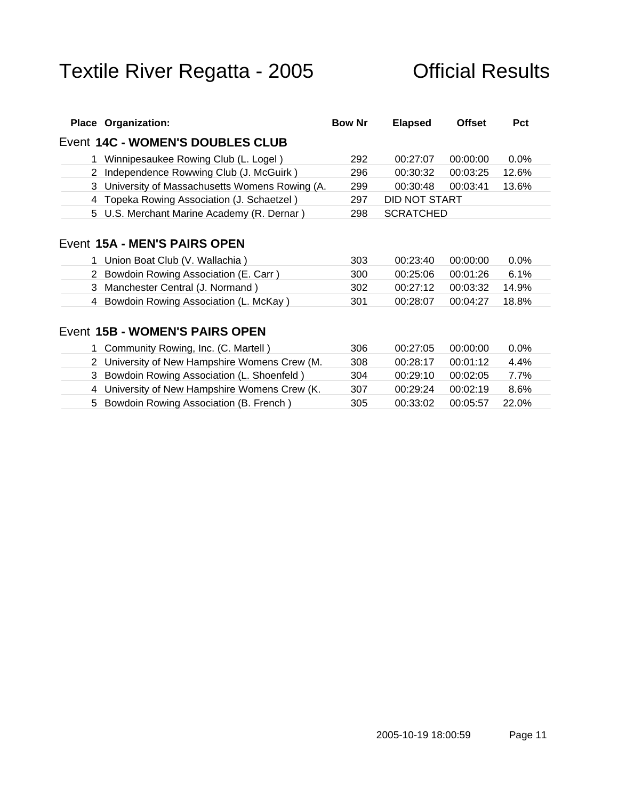| <b>Place Organization:</b>                      | <b>Bow Nr</b> | <b>Elapsed</b>    | Offset Pct                     |  |
|-------------------------------------------------|---------------|-------------------|--------------------------------|--|
| Event 14C - WOMEN'S DOUBLES CLUB                |               |                   |                                |  |
| 1 Winnipesaukee Rowing Club (L. Logel)          |               |                   | 292  00:27:07  00:00:00  0.0%  |  |
| 2 Independence Rowwing Club (J. McGuirk)        |               |                   | 296  00:30:32  00:03:25  12.6% |  |
| 3 University of Massachusetts Womens Rowing (A. | 299           |                   | 00:30:48 00:03:41 13.6%        |  |
| 4 Topeka Rowing Association (J. Schaetzel)      |               | 297 DID NOT START |                                |  |
| 5 U.S. Merchant Marine Academy (R. Dernar)      |               | 298 SCRATCHED     |                                |  |
|                                                 |               |                   |                                |  |
| Event 15A - MEN'S PAIRS OPEN                    |               |                   |                                |  |
| 1 Union Boat Club (V. Wallachia)                |               |                   | 303  00:23:40  00:00:00  0.0%  |  |
| 2 Bowdoin Rowing Association (E. Carr.)         |               |                   | 300  00:25:06  00:01:26  6.1%  |  |
| 3 Manchester Central (J. Normand)               |               |                   | 302 00:27:12 00:03:32 14.9%    |  |
| 4 Bowdoin Rowing Association (L. McKay)         |               |                   | 301  00:28:07  00:04:27  18.8% |  |
|                                                 |               |                   |                                |  |
| Event 15B - WOMEN'S PAIRS OPEN                  |               |                   |                                |  |
| 1 Community Rowing, Inc. (C. Martell)           | 306           |                   | 00:27:05 00:00:00 0.0%         |  |

| COMMITTED TOWNS OUT DUIT ON THE CONTINUING CONTINUING INC. (C. Mattell )   |  |  |
|----------------------------------------------------------------------------|--|--|
| 2 University of New Hampshire Womens Crew (M. $308$ 00:28:17 00:01:12 4.4% |  |  |
| 3 Bowdoin Rowing Association (L. Shoenfeld) 304 00:29:10 00:02:05 7.7%     |  |  |
| 4 University of New Hampshire Womens Crew (K. 307 00:29:24 00:02:19 8.6%   |  |  |
| 5 Bowdoin Rowing Association (B. French)                                   |  |  |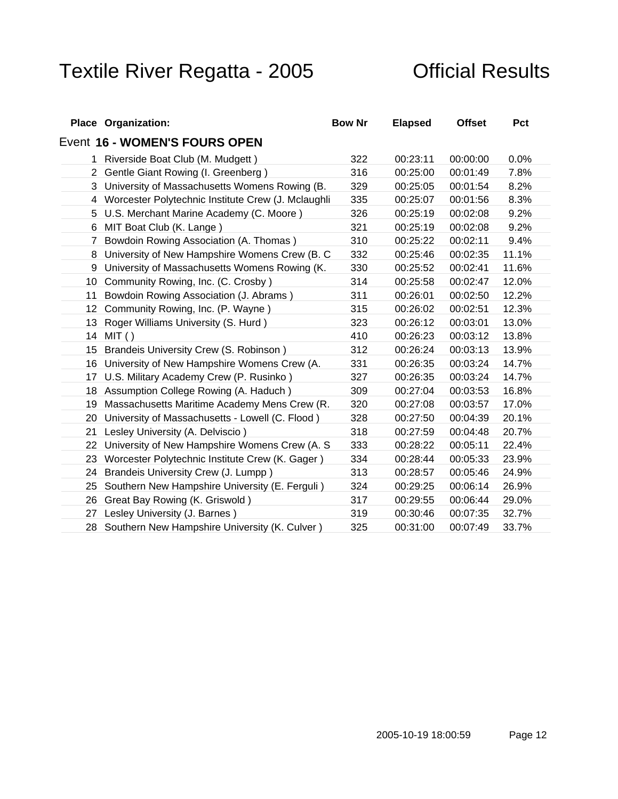| <b>Place Organization:</b>                           | <b>Bow Nr</b> | <b>Elapsed</b>                 | Offset Pct |
|------------------------------------------------------|---------------|--------------------------------|------------|
| Event 16 - WOMEN'S FOURS OPEN                        |               |                                |            |
| Riverside Boat Club (M. Mudgett)                     | 322           | 00:23:11 00:00:00 0.0%         |            |
| 2 Gentle Giant Rowing (I. Greenberg)                 |               | 00:25:00 00:01:49 7.8%         |            |
| 3 University of Massachusetts Womens Rowing (B.      | 329           | 00:25:05 00:01:54 8.2%         |            |
| 4 Worcester Polytechnic Institute Crew (J. Mclaughli | 335           | 00:25:07 00:01:56 8.3%         |            |
| 5 U.S. Merchant Marine Academy (C. Moore)            | 326           | 00:25:19  00:02:08  9.2%       |            |
| 6 MIT Boat Club (K. Lange)                           | 321           | 00:25:19  00:02:08  9.2%       |            |
| 7 Bowdoin Rowing Association (A. Thomas)             |               | 00:25:22 00:02:11 9.4%         |            |
| 8 University of New Hampshire Womens Crew (B. C 332  |               | 00:25:46 00:02:35 11.1%        |            |
| 9 University of Massachusetts Womens Rowing (K.      | 330           | 00:25:52 00:02:41 11.6%        |            |
| 10 Community Rowing, Inc. (C. Crosby)                |               | 314  00:25:58  00:02:47  12.0% |            |
| 11 Bowdoin Rowing Association (J. Abrams)            |               | 00:26:01  00:02:50  12.2%      |            |
| 12 Community Rowing, Inc. (P. Wayne)                 | 315           | 00:26:02  00:02:51  12.3%      |            |
| 13 Roger Williams University (S. Hurd)               |               | 00:26:12 00:03:01 13.0%        |            |
| 14 MIT ( )                                           | 410           | 00:26:23  00:03:12  13.8%      |            |
| 15 Brandeis University Crew (S. Robinson)            | 312           | 00:26:24 00:03:13 13.9%        |            |
| 16 University of New Hampshire Womens Crew (A.       | 331           | 00:26:35 00:03:24 14.7%        |            |
| 17 U.S. Military Academy Crew (P. Rusinko)           | 327           | 00:26:35 00:03:24 14.7%        |            |
| 18 Assumption College Rowing (A. Haduch)             | 309           | 00:27:04 00:03:53 16.8%        |            |
| 19 Massachusetts Maritime Academy Mens Crew (R.      | 320           | 00:27:08  00:03:57  17.0%      |            |
| 20 University of Massachusetts - Lowell (C. Flood)   | 328           | 00:27:50 00:04:39 20.1%        |            |
| 21 Lesley University (A. Delviscio)                  |               | 00:27:59 00:04:48 20.7%        |            |
| 22 University of New Hampshire Womens Crew (A. S     | 333           | 00:28:22 00:05:11 22.4%        |            |
| 23 Worcester Polytechnic Institute Crew (K. Gager)   | 334           | 00:28:44 00:05:33 23.9%        |            |
| 24 Brandeis University Crew (J. Lumpp)               |               | 00:28:57 00:05:46 24.9%        |            |
| 25 Southern New Hampshire University (E. Ferguli)    | 324           | 00:29:25  00:06:14  26.9%      |            |
| 26 Great Bay Rowing (K. Griswold)                    |               | 00:29:55  00:06:44  29.0%      |            |
| 27 Lesley University (J. Barnes)                     | 319           | 00:30:46 00:07:35 32.7%        |            |
| 28 Southern New Hampshire University (K. Culver)     | 325           | 00:31:00 00:07:49 33.7%        |            |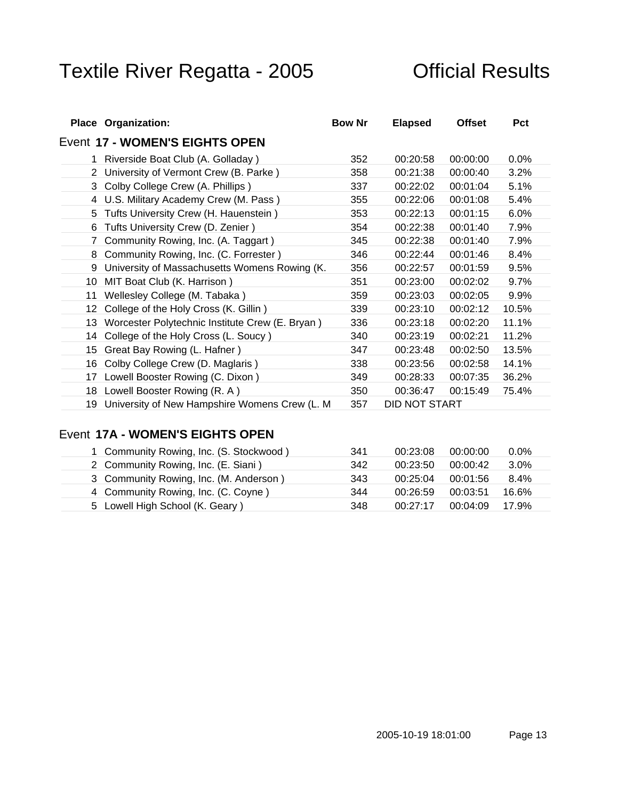| <b>Place Organization:</b>                                         | <b>Bow Nr</b> | <b>Elapsed</b> | Offset Pct                  |  |
|--------------------------------------------------------------------|---------------|----------------|-----------------------------|--|
| Event 17 - WOMEN'S EIGHTS OPEN                                     |               |                |                             |  |
| 1 Riverside Boat Club (A. Golladay)                                | 352           |                | 00:20:58 00:00:00 0.0%      |  |
| 2 University of Vermont Crew (B. Parke)                            | 358           |                | 00:21:38 00:00:40 3.2%      |  |
| 3 Colby College Crew (A. Phillips)                                 | 337           |                | 00:22:02 00:01:04 5.1%      |  |
| 4 U.S. Military Academy Crew (M. Pass)                             | 355           |                | 00:22:06 00:01:08 5.4%      |  |
| 5 Tufts University Crew (H. Hauenstein)                            | 353           |                | 00:22:13 00:01:15 6.0%      |  |
| 6 Tufts University Crew (D. Zenier)                                |               |                | 354 00:22:38 00:01:40 7.9%  |  |
| 7 Community Rowing, Inc. (A. Taggart)                              |               |                | 345 00:22:38 00:01:40 7.9%  |  |
| 8 Community Rowing, Inc. (C. Forrester)                            |               |                | 346 00:22:44 00:01:46 8.4%  |  |
| 9 University of Massachusetts Womens Rowing (K.                    | 356           |                | 00:22:57 00:01:59 9.5%      |  |
| 10 MIT Boat Club (K. Harrison)                                     | 351           |                | 00:23:00 00:02:02 9.7%      |  |
| 11 Wellesley College (M. Tabaka)                                   | 359           |                | 00:23:03 00:02:05 9.9%      |  |
| 12 College of the Holy Cross (K. Gillin)                           | 339           |                | 00:23:10 00:02:12 10.5%     |  |
| 13 Worcester Polytechnic Institute Crew (E. Bryan)                 | 336           |                | 00:23:18  00:02:20  11.1%   |  |
| 14 College of the Holy Cross (L. Soucy)                            | 340           |                |                             |  |
| 15 Great Bay Rowing (L. Hafner)                                    | 347           |                | 00:23:48 00:02:50 13.5%     |  |
| 16 Colby College Crew (D. Maglaris)                                | 338           |                | 00:23:56 00:02:58 14.1%     |  |
| 17 Lowell Booster Rowing (C. Dixon)                                |               |                | 349 00:28:33 00:07:35 36.2% |  |
| 18 Lowell Booster Rowing (R. A)                                    |               |                | 350 00:36:47 00:15:49 75.4% |  |
| 19 University of New Hampshire Womens Crew (L. M 357 DID NOT START |               |                |                             |  |

### Event **17A - WOMEN'S EIGHTS OPEN**

| Community Rowing, Inc. (S. Stockwood) |                                  |  |
|---------------------------------------|----------------------------------|--|
| Community Rowing, Inc. (E. Siani)     |                                  |  |
| Community Rowing, Inc. (M. Anderson)  |                                  |  |
| Community Rowing, Inc. (C. Coyne)     |                                  |  |
| Lowell High School (K. Geary)         | 18   00:27:17   00:04:09   17.9% |  |